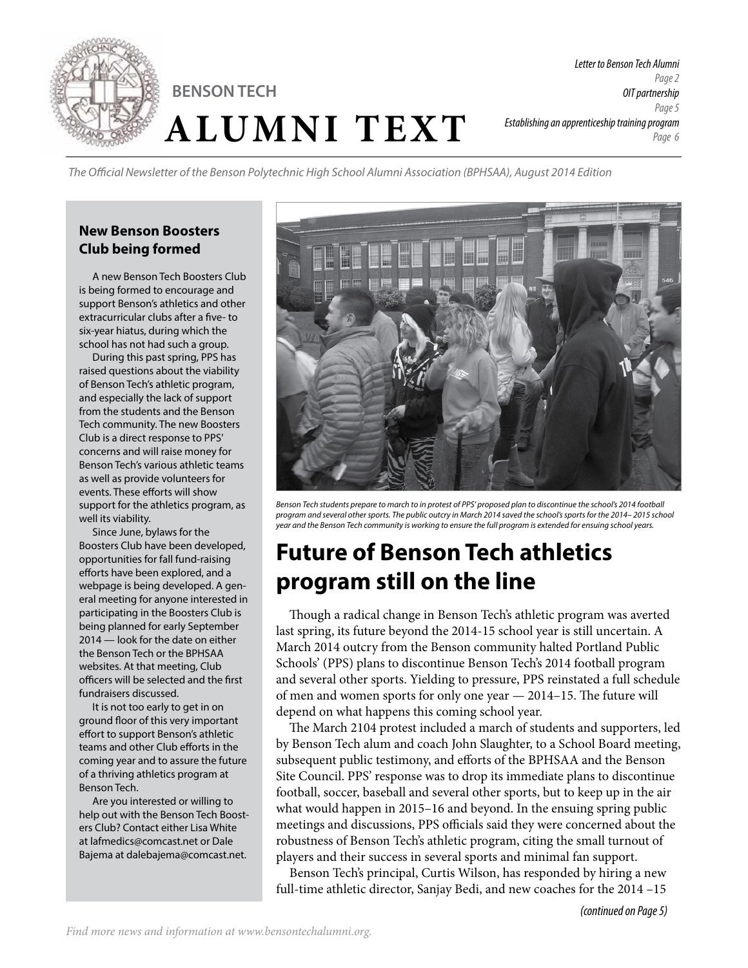

*The Official Newsletter of the Benson Polytechnic High School Alumni Association (BPHSAA), August 2014 Edition*

#### **New Benson Boosters Club being formed**

A new Benson Tech Boosters Club is being formed to encourage and support Benson's athletics and other extracurricular clubs after a five- to six-year hiatus, during which the school has not had such a group.

During this past spring, PPS has raised questions about the viability of Benson Tech's athletic program, and especially the lack of support from the students and the Benson Tech community. The new Boosters Club is a direct response to PPS' concerns and will raise money for Benson Tech's various athletic teams as well as provide volunteers for events. These efforts will show support for the athletics program, as well its viability.

Since June, bylaws for the Boosters Club have been developed, opportunities for fall fund-raising efforts have been explored, and a webpage is being developed. A general meeting for anyone interested in participating in the Boosters Club is being planned for early September 2014 — look for the date on either the Benson Tech or the BPHSAA websites. At that meeting, Club officers will be selected and the first fundraisers discussed.

It is not too early to get in on ground floor of this very important effort to support Benson's athletic teams and other Club efforts in the coming year and to assure the future of a thriving athletics program at Benson Tech.

Are you interested or willing to help out with the Benson Tech Boosters Club? Contact either Lisa White at lafmedics@comcast.net or Dale Bajema at dalebajema@comcast.net.



*Benson Tech students prepare to march to in protest of PPS' proposed plan to discontinue the school's 2014 football program and several other sports. The public outcry in March 2014 saved the school's sports for the 2014– 2015 school year and the Benson Tech community is working to ensure the full program is extended for ensuing school years.* 

# **Future of Benson Tech athletics program still on the line**

Though a radical change in Benson Tech's athletic program was averted last spring, its future beyond the 2014-15 school year is still uncertain. A March 2014 outcry from the Benson community halted Portland Public Schools' (PPS) plans to discontinue Benson Tech's 2014 football program and several other sports. Yielding to pressure, PPS reinstated a full schedule of men and women sports for only one year — 2014–15. The future will depend on what happens this coming school year.

The March 2104 protest included a march of students and supporters, led by Benson Tech alum and coach John Slaughter, to a School Board meeting, subsequent public testimony, and efforts of the BPHSAA and the Benson Site Council. PPS' response was to drop its immediate plans to discontinue football, soccer, baseball and several other sports, but to keep up in the air what would happen in 2015–16 and beyond. In the ensuing spring public meetings and discussions, PPS officials said they were concerned about the robustness of Benson Tech's athletic program, citing the small turnout of players and their success in several sports and minimal fan support.

Benson Tech's principal, Curtis Wilson, has responded by hiring a new full-time athletic director, Sanjay Bedi, and new coaches for the 2014 –15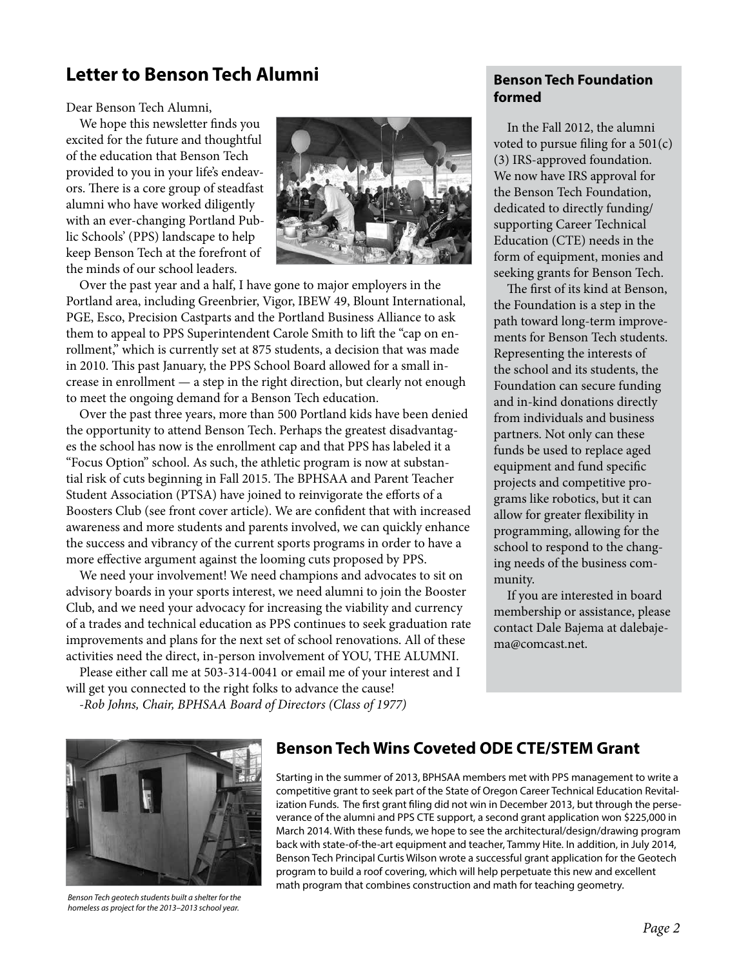### **Letter to Benson Tech Alumni**

Dear Benson Tech Alumni,

We hope this newsletter finds you excited for the future and thoughtful of the education that Benson Tech provided to you in your life's endeavors. There is a core group of steadfast alumni who have worked diligently with an ever-changing Portland Public Schools' (PPS) landscape to help keep Benson Tech at the forefront of the minds of our school leaders.



Over the past year and a half, I have gone to major employers in the Portland area, including Greenbrier, Vigor, IBEW 49, Blount International, PGE, Esco, Precision Castparts and the Portland Business Alliance to ask them to appeal to PPS Superintendent Carole Smith to lift the "cap on enrollment," which is currently set at 875 students, a decision that was made in 2010. This past January, the PPS School Board allowed for a small increase in enrollment — a step in the right direction, but clearly not enough to meet the ongoing demand for a Benson Tech education.

Over the past three years, more than 500 Portland kids have been denied the opportunity to attend Benson Tech. Perhaps the greatest disadvantages the school has now is the enrollment cap and that PPS has labeled it a "Focus Option" school. As such, the athletic program is now at substantial risk of cuts beginning in Fall 2015. The BPHSAA and Parent Teacher Student Association (PTSA) have joined to reinvigorate the efforts of a Boosters Club (see front cover article). We are confident that with increased awareness and more students and parents involved, we can quickly enhance the success and vibrancy of the current sports programs in order to have a more effective argument against the looming cuts proposed by PPS.

We need your involvement! We need champions and advocates to sit on advisory boards in your sports interest, we need alumni to join the Booster Club, and we need your advocacy for increasing the viability and currency of a trades and technical education as PPS continues to seek graduation rate improvements and plans for the next set of school renovations. All of these activities need the direct, in-person involvement of YOU, THE ALUMNI.

Please either call me at 503-314-0041 or email me of your interest and I will get you connected to the right folks to advance the cause! *-Rob Johns, Chair, BPHSAA Board of Directors (Class of 1977)*

**Benson Tech Foundation formed**

In the Fall 2012, the alumni voted to pursue filing for a  $501(c)$ (3) IRS-approved foundation. We now have IRS approval for the Benson Tech Foundation, dedicated to directly funding/ supporting Career Technical Education (CTE) needs in the form of equipment, monies and seeking grants for Benson Tech.

The first of its kind at Benson, the Foundation is a step in the path toward long-term improvements for Benson Tech students. Representing the interests of the school and its students, the Foundation can secure funding and in-kind donations directly from individuals and business partners. Not only can these funds be used to replace aged equipment and fund specific projects and competitive programs like robotics, but it can allow for greater flexibility in programming, allowing for the school to respond to the changing needs of the business community.

If you are interested in board membership or assistance, please contact Dale Bajema at dalebajema@comcast.net.



*Benson Tech geotech students built a shelter for the homeless as project for the 2013–2013 school year.*

### **Benson Tech Wins Coveted ODE CTE/STEM Grant**

Starting in the summer of 2013, BPHSAA members met with PPS management to write a competitive grant to seek part of the State of Oregon Career Technical Education Revitalization Funds. The first grant filing did not win in December 2013, but through the perseverance of the alumni and PPS CTE support, a second grant application won \$225,000 in March 2014. With these funds, we hope to see the architectural/design/drawing program back with state-of-the-art equipment and teacher, Tammy Hite. In addition, in July 2014, Benson Tech Principal Curtis Wilson wrote a successful grant application for the Geotech program to build a roof covering, which will help perpetuate this new and excellent math program that combines construction and math for teaching geometry.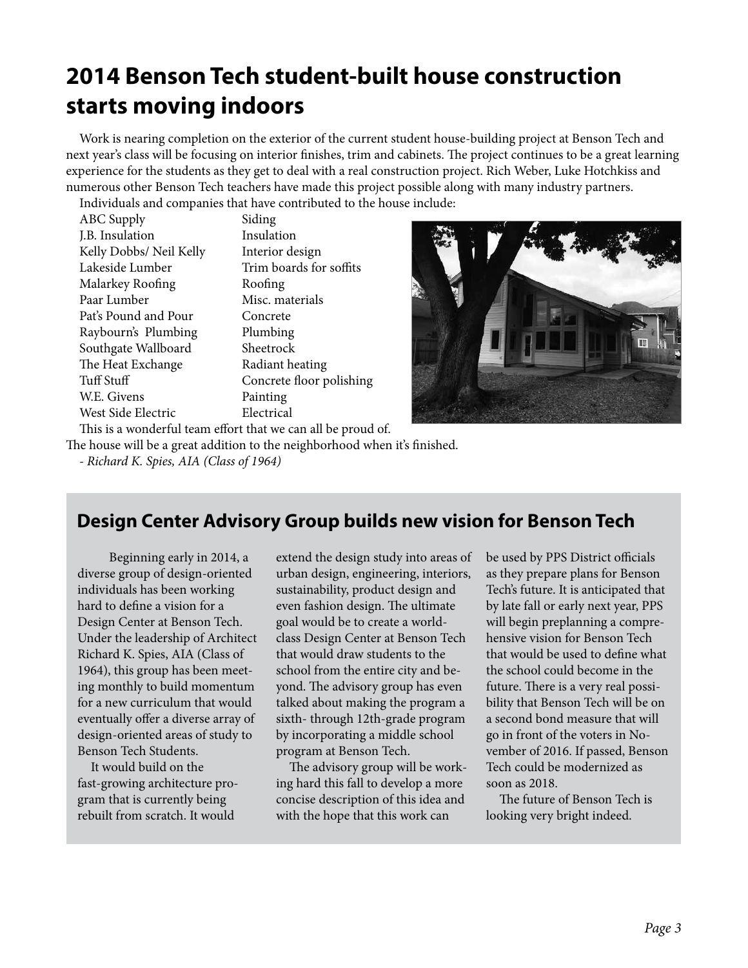## **2014 Benson Tech student-built house construction starts moving indoors**

Work is nearing completion on the exterior of the current student house-building project at Benson Tech and next year's class will be focusing on interior finishes, trim and cabinets. The project continues to be a great learning experience for the students as they get to deal with a real construction project. Rich Weber, Luke Hotchkiss and numerous other Benson Tech teachers have made this project possible along with many industry partners. Individuals and companies that have contributed to the house include:

| murviquais and companies that have contributed to the |                          |
|-------------------------------------------------------|--------------------------|
| ABC Supply                                            | Siding                   |
| J.B. Insulation                                       | Insulation               |
| Kelly Dobbs/ Neil Kelly                               | Interior design          |
| Lakeside Lumber                                       | Trim boards for soffits  |
| Malarkey Roofing                                      | Roofing                  |
| Paar Lumber                                           | Misc. materials          |
| Pat's Pound and Pour                                  | Concrete                 |
| Raybourn's Plumbing                                   | Plumbing                 |
| Southgate Wallboard                                   | Sheetrock                |
| The Heat Exchange                                     | Radiant heating          |
| Tuff Stuff                                            | Concrete floor polishing |
| W.E. Givens                                           | Painting                 |
| West Side Electric                                    | Electrical               |
|                                                       |                          |



This is a wonderful team effort that we can all be proud of.

The house will be a great addition to the neighborhood when it's finished.

*- Richard K. Spies, AIA (Class of 1964)*

### **Design Center Advisory Group builds new vision for Benson Tech**

 Beginning early in 2014, a diverse group of design-oriented individuals has been working hard to define a vision for a Design Center at Benson Tech. Under the leadership of Architect Richard K. Spies, AIA (Class of 1964), this group has been meeting monthly to build momentum for a new curriculum that would eventually offer a diverse array of design-oriented areas of study to Benson Tech Students.

It would build on the fast-growing architecture program that is currently being rebuilt from scratch. It would

extend the design study into areas of urban design, engineering, interiors, sustainability, product design and even fashion design. The ultimate goal would be to create a worldclass Design Center at Benson Tech that would draw students to the school from the entire city and beyond. The advisory group has even talked about making the program a sixth- through 12th-grade program by incorporating a middle school program at Benson Tech.

The advisory group will be working hard this fall to develop a more concise description of this idea and with the hope that this work can

be used by PPS District officials as they prepare plans for Benson Tech's future. It is anticipated that by late fall or early next year, PPS will begin preplanning a comprehensive vision for Benson Tech that would be used to define what the school could become in the future. There is a very real possibility that Benson Tech will be on a second bond measure that will go in front of the voters in November of 2016. If passed, Benson Tech could be modernized as soon as 2018.

The future of Benson Tech is looking very bright indeed.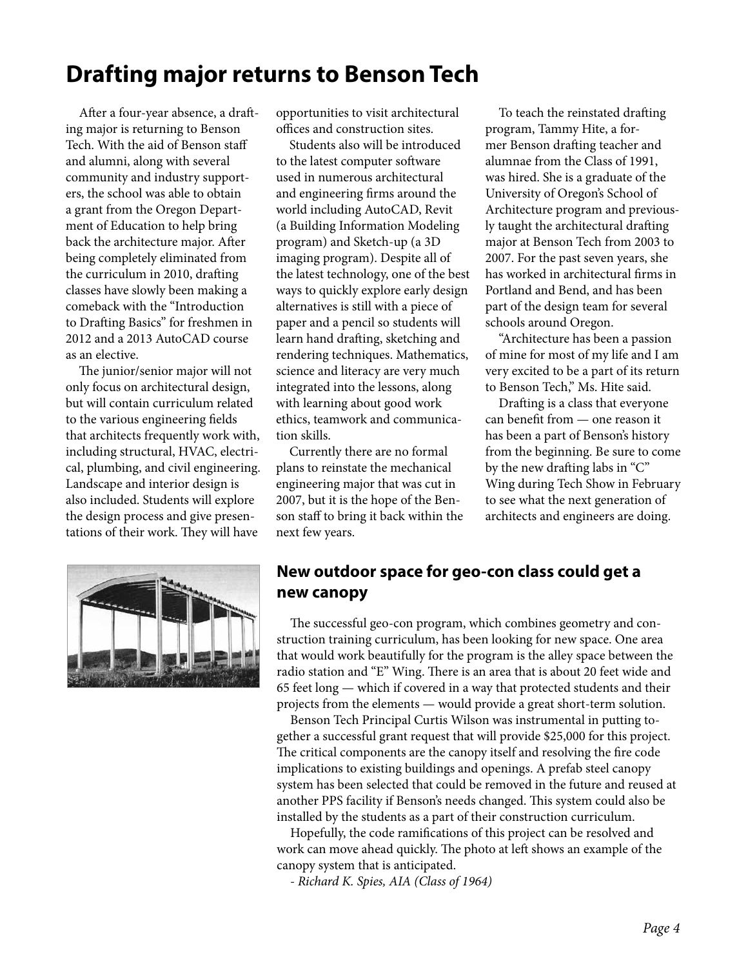## **Drafting major returns to Benson Tech**

After a four-year absence, a drafting major is returning to Benson Tech. With the aid of Benson staff and alumni, along with several community and industry supporters, the school was able to obtain a grant from the Oregon Department of Education to help bring back the architecture major. After being completely eliminated from the curriculum in 2010, drafting classes have slowly been making a comeback with the "Introduction to Drafting Basics" for freshmen in 2012 and a 2013 AutoCAD course as an elective.

The junior/senior major will not only focus on architectural design, but will contain curriculum related to the various engineering fields that architects frequently work with, including structural, HVAC, electrical, plumbing, and civil engineering. Landscape and interior design is also included. Students will explore the design process and give presentations of their work. They will have



opportunities to visit architectural offices and construction sites.

Students also will be introduced to the latest computer software used in numerous architectural and engineering firms around the world including AutoCAD, Revit (a Building Information Modeling program) and Sketch-up (a 3D imaging program). Despite all of the latest technology, one of the best ways to quickly explore early design alternatives is still with a piece of paper and a pencil so students will learn hand drafting, sketching and rendering techniques. Mathematics, science and literacy are very much integrated into the lessons, along with learning about good work ethics, teamwork and communication skills.

Currently there are no formal plans to reinstate the mechanical engineering major that was cut in 2007, but it is the hope of the Benson staff to bring it back within the next few years.

To teach the reinstated drafting program, Tammy Hite, a former Benson drafting teacher and alumnae from the Class of 1991, was hired. She is a graduate of the University of Oregon's School of Architecture program and previously taught the architectural drafting major at Benson Tech from 2003 to 2007. For the past seven years, she has worked in architectural firms in Portland and Bend, and has been part of the design team for several schools around Oregon.

"Architecture has been a passion of mine for most of my life and I am very excited to be a part of its return to Benson Tech," Ms. Hite said.

Drafting is a class that everyone can benefit from — one reason it has been a part of Benson's history from the beginning. Be sure to come by the new drafting labs in "C" Wing during Tech Show in February to see what the next generation of architects and engineers are doing.

### **New outdoor space for geo-con class could get a new canopy**

The successful geo-con program, which combines geometry and construction training curriculum, has been looking for new space. One area that would work beautifully for the program is the alley space between the radio station and "E" Wing. There is an area that is about 20 feet wide and 65 feet long — which if covered in a way that protected students and their projects from the elements — would provide a great short-term solution.

Benson Tech Principal Curtis Wilson was instrumental in putting together a successful grant request that will provide \$25,000 for this project. The critical components are the canopy itself and resolving the fire code implications to existing buildings and openings. A prefab steel canopy system has been selected that could be removed in the future and reused at another PPS facility if Benson's needs changed. This system could also be installed by the students as a part of their construction curriculum.

Hopefully, the code ramifications of this project can be resolved and work can move ahead quickly. The photo at left shows an example of the canopy system that is anticipated.

*- Richard K. Spies, AIA (Class of 1964)*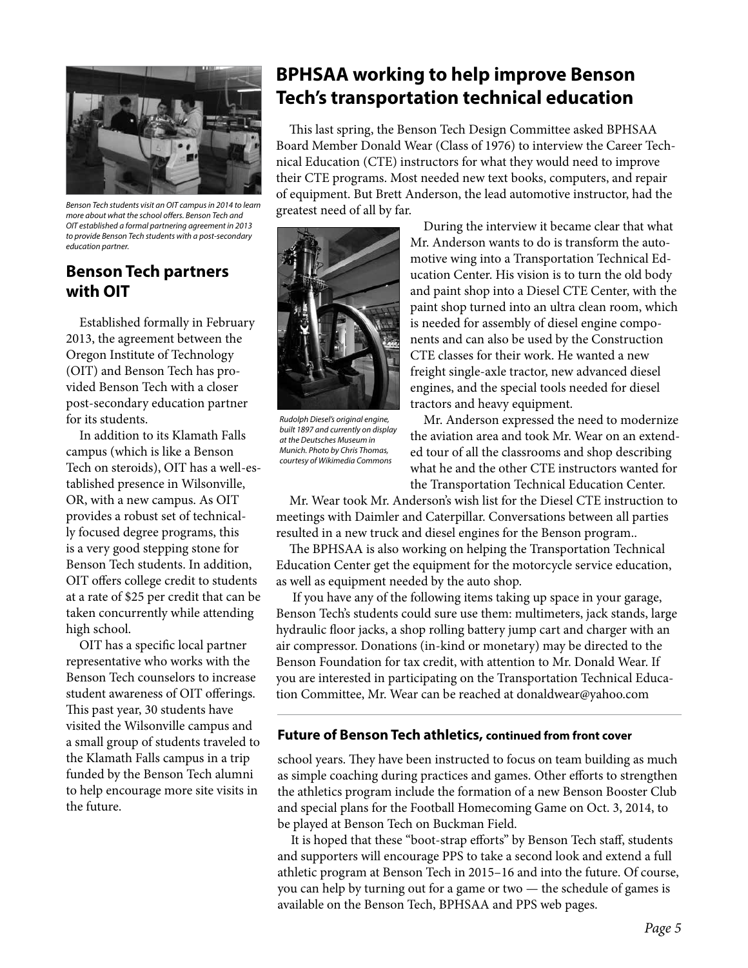

*Benson Tech students visit an OIT campus in 2014 to learn more about what the school offers. Benson Tech and OIT established a formal partnering agreement in 2013 to provide Benson Tech students with a post-secondary education partner.*

#### **Benson Tech partners with OIT**

Established formally in February 2013, the agreement between the Oregon Institute of Technology (OIT) and Benson Tech has provided Benson Tech with a closer post-secondary education partner for its students.

In addition to its Klamath Falls campus (which is like a Benson Tech on steroids), OIT has a well-established presence in Wilsonville, OR, with a new campus. As OIT provides a robust set of technically focused degree programs, this is a very good stepping stone for Benson Tech students. In addition, OIT offers college credit to students at a rate of \$25 per credit that can be taken concurrently while attending high school.

OIT has a specific local partner representative who works with the Benson Tech counselors to increase student awareness of OIT offerings. This past year, 30 students have visited the Wilsonville campus and a small group of students traveled to the Klamath Falls campus in a trip funded by the Benson Tech alumni to help encourage more site visits in the future.

### **BPHSAA working to help improve Benson Tech's transportation technical education**

This last spring, the Benson Tech Design Committee asked BPHSAA Board Member Donald Wear (Class of 1976) to interview the Career Technical Education (CTE) instructors for what they would need to improve their CTE programs. Most needed new text books, computers, and repair of equipment. But Brett Anderson, the lead automotive instructor, had the greatest need of all by far.



*Rudolph Diesel's original engine, built 1897 and currently on display at the Deutsches Museum in Munich. Photo by Chris Thomas, courtesy of Wikimedia Commons* 

During the interview it became clear that what Mr. Anderson wants to do is transform the automotive wing into a Transportation Technical Education Center. His vision is to turn the old body and paint shop into a Diesel CTE Center, with the paint shop turned into an ultra clean room, which is needed for assembly of diesel engine components and can also be used by the Construction CTE classes for their work. He wanted a new freight single-axle tractor, new advanced diesel engines, and the special tools needed for diesel tractors and heavy equipment.

Mr. Anderson expressed the need to modernize the aviation area and took Mr. Wear on an extended tour of all the classrooms and shop describing what he and the other CTE instructors wanted for the Transportation Technical Education Center.

Mr. Wear took Mr. Anderson's wish list for the Diesel CTE instruction to meetings with Daimler and Caterpillar. Conversations between all parties resulted in a new truck and diesel engines for the Benson program..

The BPHSAA is also working on helping the Transportation Technical Education Center get the equipment for the motorcycle service education, as well as equipment needed by the auto shop.

 If you have any of the following items taking up space in your garage, Benson Tech's students could sure use them: multimeters, jack stands, large hydraulic floor jacks, a shop rolling battery jump cart and charger with an air compressor. Donations (in-kind or monetary) may be directed to the Benson Foundation for tax credit, with attention to Mr. Donald Wear. If you are interested in participating on the Transportation Technical Education Committee, Mr. Wear can be reached at donaldwear@yahoo.com

#### **Future of Benson Tech athletics, continued from front cover**

school years. They have been instructed to focus on team building as much as simple coaching during practices and games. Other efforts to strengthen the athletics program include the formation of a new Benson Booster Club and special plans for the Football Homecoming Game on Oct. 3, 2014, to be played at Benson Tech on Buckman Field.

It is hoped that these "boot-strap efforts" by Benson Tech staff, students and supporters will encourage PPS to take a second look and extend a full athletic program at Benson Tech in 2015–16 and into the future. Of course, you can help by turning out for a game or two — the schedule of games is available on the Benson Tech, BPHSAA and PPS web pages.